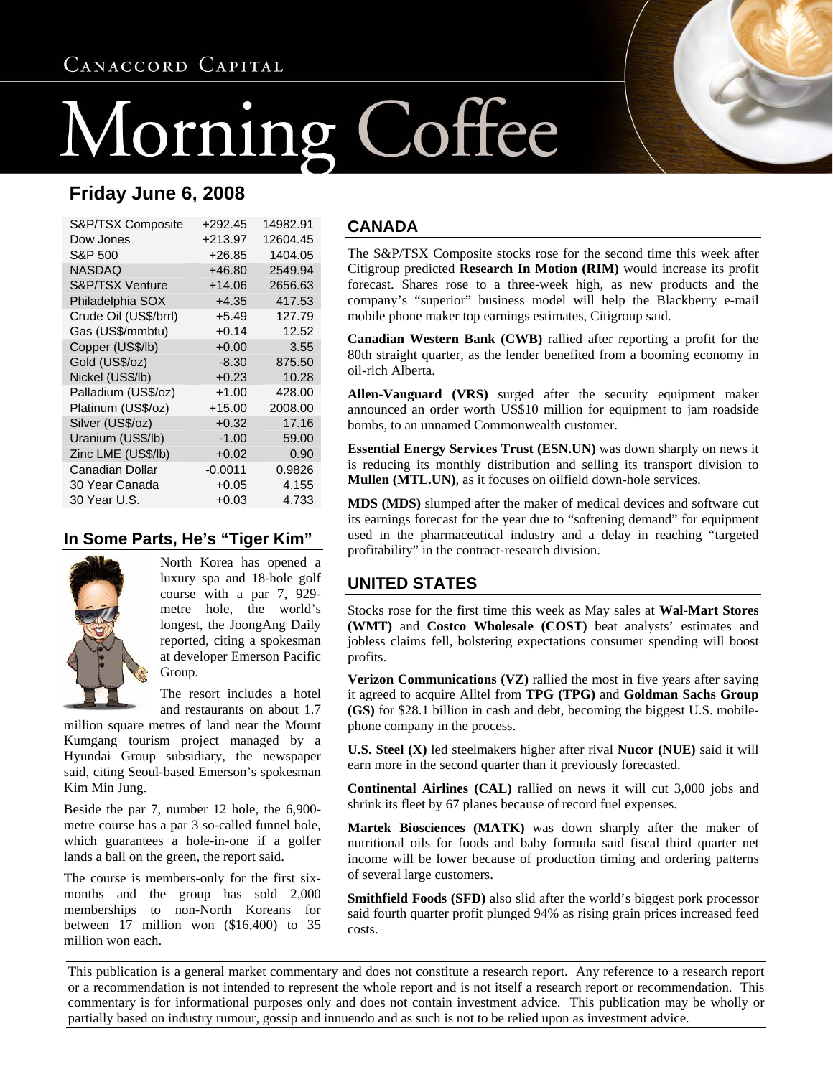# CANACCORD CAPITAL

# Morning Coffee

# **Friday June 6, 2008**

| S&P/TSX Composite     | +292.45   | 14982.91 |
|-----------------------|-----------|----------|
| Dow Jones             | +213.97   | 12604.45 |
| S&P 500               | $+26.85$  | 1404.05  |
| NASDAQ                | $+46.80$  | 2549.94  |
| S&P/TSX Venture       | +14.06    | 2656.63  |
| Philadelphia SOX      | $+4.35$   | 417.53   |
| Crude Oil (US\$/brrl) | $+5.49$   | 127.79   |
| Gas (US\$/mmbtu)      | $+0.14$   | 12.52    |
| Copper (US\$/lb)      | $+0.00$   | 3.55     |
| Gold (US\$/oz)        | $-8.30$   | 875.50   |
| Nickel (US\$/lb)      | $+0.23$   | 10.28    |
| Palladium (US\$/oz)   | $+1.00$   | 428.00   |
| Platinum (US\$/oz)    | +15.00    | 2008.00  |
| Silver (US\$/oz)      | $+0.32$   | 17.16    |
| Uranium (US\$/lb)     | $-1.00$   | 59.00    |
| Zinc LME (US\$/lb)    | $+0.02$   | 0.90     |
| Canadian Dollar       | $-0.0011$ | 0.9826   |
| 30 Year Canada        | $+0.05$   | 4.155    |
| 30 Year U.S.          | $+0.03$   | 4.733    |

#### **In Some Parts, He's "Tiger Kim"**



North Korea has opened a luxury spa and 18-hole golf course with a par 7, 929 metre hole, the world's longest, the JoongAng Daily reported, citing a spokesman at developer Emerson Pacific Group.

The resort includes a hotel and restaurants on about 1.7

million square metres of land near the Mount Kumgang tourism project managed by a Hyundai Group subsidiary, the newspaper said, citing Seoul-based Emerson's spokesman Kim Min Jung.

Beside the par 7, number 12 hole, the 6,900 metre course has a par 3 so-called funnel hole, which guarantees a hole-in-one if a golfer lands a ball on the green, the report said.

The course is members-only for the first sixmonths and the group has sold 2,000 memberships to non-North Koreans for between 17 million won (\$16,400) to 35 million won each.

#### **CANADA**

The S&P/TSX Composite stocks rose for the second time this week after Citigroup predicted **Research In Motion (RIM)** would increase its profit forecast. Shares rose to a three-week high, as new products and the company's "superior" business model will help the Blackberry e-mail mobile phone maker top earnings estimates, Citigroup said.

**Canadian Western Bank (CWB)** rallied after reporting a profit for the 80th straight quarter, as the lender benefited from a booming economy in oil-rich Alberta.

**Allen-Vanguard (VRS)** surged after the security equipment maker announced an order worth US\$10 million for equipment to jam roadside bombs, to an unnamed Commonwealth customer.

**Essential Energy Services Trust (ESN.UN)** was down sharply on news it is reducing its monthly distribution and selling its transport division to **Mullen (MTL.UN)**, as it focuses on oilfield down-hole services.

**MDS (MDS)** slumped after the maker of medical devices and software cut its earnings forecast for the year due to "softening demand" for equipment used in the pharmaceutical industry and a delay in reaching "targeted profitability" in the contract-research division.

#### **UNITED STATES**

Stocks rose for the first time this week as May sales at **Wal-Mart Stores (WMT)** and **Costco Wholesale (COST)** beat analysts' estimates and jobless claims fell, bolstering expectations consumer spending will boost profits.

**Verizon Communications (VZ)** rallied the most in five years after saying it agreed to acquire Alltel from **TPG (TPG)** and **Goldman Sachs Group (GS)** for \$28.1 billion in cash and debt, becoming the biggest U.S. mobilephone company in the process.

**U.S. Steel (X)** led steelmakers higher after rival **Nucor (NUE)** said it will earn more in the second quarter than it previously forecasted.

**Continental Airlines (CAL)** rallied on news it will cut 3,000 jobs and shrink its fleet by 67 planes because of record fuel expenses.

**Martek Biosciences (MATK)** was down sharply after the maker of nutritional oils for foods and baby formula said fiscal third quarter net income will be lower because of production timing and ordering patterns of several large customers.

**Smithfield Foods (SFD)** also slid after the world's biggest pork processor said fourth quarter profit plunged 94% as rising grain prices increased feed costs.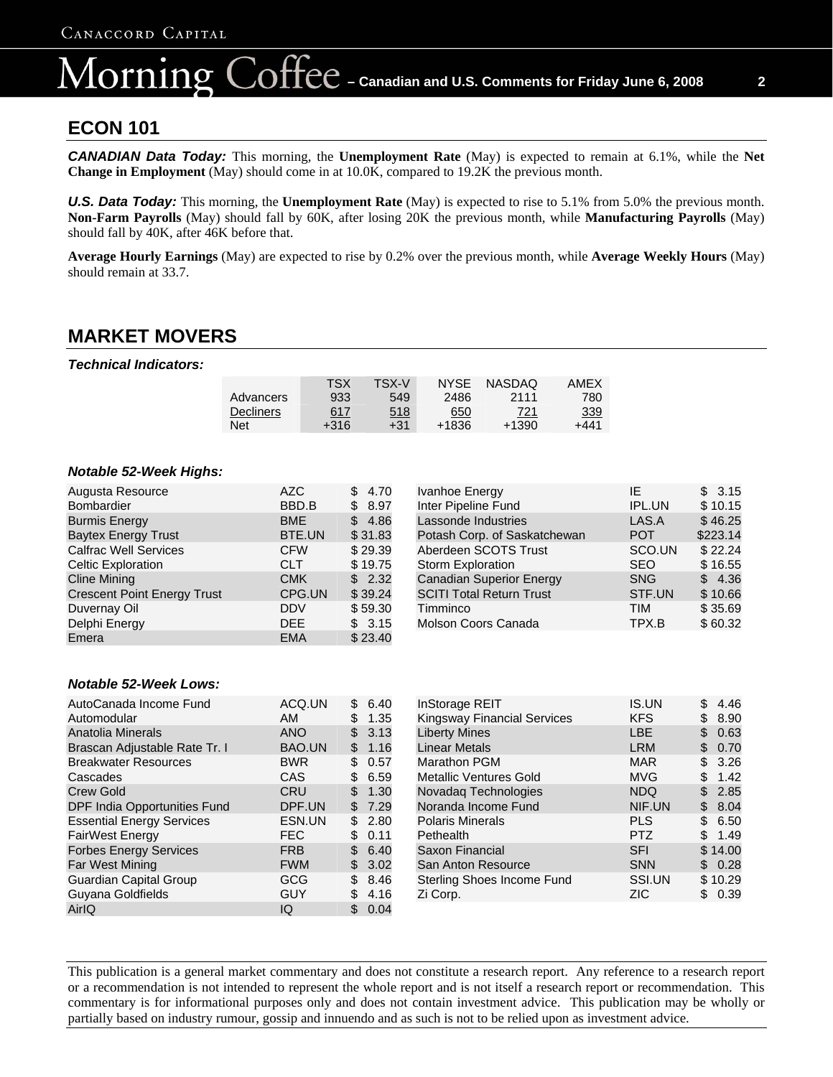# $\overline{C}$   $\overline{C}$   $\overline{C}$  – Canadian and U.S. Comments for Friday June 6, 2008  $\overline{C}$  2 lorning

#### **ECON 101**

**CANADIAN Data Today:** This morning, the **Unemployment Rate** (May) is expected to remain at 6.1%, while the Net **Change in Employment** (May) should come in at 10.0K, compared to 19.2K the previous month.

**U.S. Data Today:** This morning, the **Unemployment Rate** (May) is expected to rise to 5.1% from 5.0% the previous month. **Non-Farm Payrolls** (May) should fall by 60K, after losing 20K the previous month, while **Manufacturing Payrolls** (May) should fall by 40K, after 46K before that.

**Average Hourly Earnings** (May) are expected to rise by 0.2% over the previous month, while **Average Weekly Hours** (May) should remain at 33.7.

# **MARKET MOVERS**

*Technical Indicators:* 

|                  | TSX        | TSX-V      | <b>NYSE</b> | <b>NASDAQ</b> | AMEX       |
|------------------|------------|------------|-------------|---------------|------------|
| Advancers        | 933        | 549        | 2486        | 2111          | 780        |
| <b>Decliners</b> | <u>617</u> | <u>518</u> | 650         | 721           | <u>339</u> |
| Net              | +316       | $+31$      | +1836       | +1390         | +441       |

#### *Notable 52-Week Highs:*

| Augusta Resource                   | <b>AZC</b> | \$4.70  | Ivanhoe Energy                  | ΙE         | \$3.15   |
|------------------------------------|------------|---------|---------------------------------|------------|----------|
| <b>Bombardier</b>                  | BBD.B      | \$8.97  | Inter Pipeline Fund             | IPL.UN     | \$10.15  |
| <b>Burmis Energy</b>               | <b>BME</b> | \$4.86  | Lassonde Industries             | LAS.A      | \$46.25  |
| <b>Baytex Energy Trust</b>         | BTE.UN     | \$31.83 | Potash Corp. of Saskatchewan    | <b>POT</b> | \$223.14 |
| <b>Calfrac Well Services</b>       | <b>CFW</b> | \$29.39 | Aberdeen SCOTS Trust            | SCO.UN     | \$22.24  |
| Celtic Exploration                 | <b>CLT</b> | \$19.75 | <b>Storm Exploration</b>        | <b>SEO</b> | \$16.55  |
| <b>Cline Mining</b>                | <b>CMK</b> | \$2.32  | <b>Canadian Superior Energy</b> | <b>SNG</b> | \$4.36   |
| <b>Crescent Point Energy Trust</b> | CPG.UN     | \$39.24 | <b>SCITI Total Return Trust</b> | STF.UN     | \$10.66  |
| Duvernay Oil                       | <b>DDV</b> | \$59.30 | Timminco                        | TIM        | \$35.69  |
| Delphi Energy                      | DEE.       | \$3.15  | Molson Coors Canada             | TPX.B      | \$60.32  |
| Emera                              | <b>EMA</b> | \$23.40 |                                 |            |          |

#### *Notable 52-Week Lows:*

| AutoCanada Income Fund           | ACQ.UN     | \$<br>6.40 |
|----------------------------------|------------|------------|
| Automodular                      | AM         | \$<br>1.35 |
| Anatolia Minerals                | <b>ANO</b> | \$<br>3.13 |
| Brascan Adjustable Rate Tr. I    | BAO.UN     | \$<br>1.16 |
| <b>Breakwater Resources</b>      | <b>BWR</b> | \$<br>0.57 |
| Cascades                         | CAS        | \$<br>6.59 |
| <b>Crew Gold</b>                 | CRU        | \$<br>1.30 |
| DPF India Opportunities Fund     | DPF.UN     | 7.29<br>\$ |
| <b>Essential Energy Services</b> | ESN.UN     | \$<br>2.80 |
| <b>FairWest Energy</b>           | <b>FEC</b> | 0.11<br>\$ |
| <b>Forbes Energy Services</b>    | <b>FRB</b> | \$<br>6.40 |
| Far West Mining                  | <b>FWM</b> | \$<br>3.02 |
| Guardian Capital Group           | GCG        | \$<br>8.46 |
| Guyana Goldfields                | GUY        | \$<br>4.16 |
| AirlQ                            | IQ         | \$<br>0.04 |

| <b>InStorage REIT</b>              | <b>IS.UN</b> | \$<br>4.46 |
|------------------------------------|--------------|------------|
| <b>Kingsway Financial Services</b> | <b>KFS</b>   | 8.90<br>\$ |
| <b>Liberty Mines</b>               | LBE          | \$<br>0.63 |
| <b>Linear Metals</b>               | <b>LRM</b>   | 0.70<br>\$ |
| Marathon PGM                       | <b>MAR</b>   | \$<br>3.26 |
| <b>Metallic Ventures Gold</b>      | MVG          | \$<br>1.42 |
| Novadaq Technologies               | <b>NDQ</b>   | \$<br>2.85 |
| Noranda Income Fund                | NIF.UN       | \$<br>8.04 |
| <b>Polaris Minerals</b>            | PLS          | \$<br>6.50 |
| Pethealth                          | <b>PTZ</b>   | \$<br>1.49 |
| Saxon Financial                    | <b>SFI</b>   | \$14.00    |
| San Anton Resource                 | <b>SNN</b>   | 0.28<br>S  |
| Sterling Shoes Income Fund         | SSI.UN       | \$10.29    |
| Zi Corp.                           | ZIC          | 0.39<br>\$ |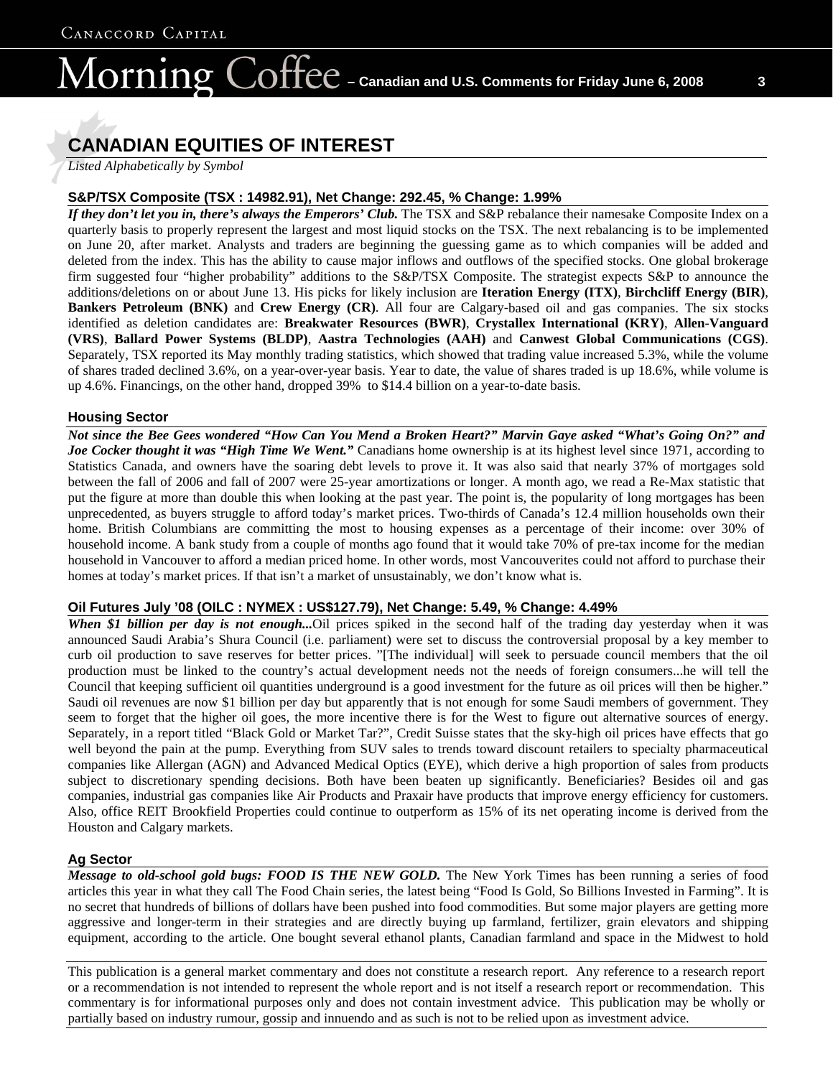# lorning

# **CANADIAN EQUITIES OF INTEREST**

*Listed Alphabetically by Symbol*

#### **S&P/TSX Composite (TSX : 14982.91), Net Change: 292.45, % Change: 1.99%**

*If they don't let you in, there's always the Emperors' Club.* The TSX and S&P rebalance their namesake Composite Index on a quarterly basis to properly represent the largest and most liquid stocks on the TSX. The next rebalancing is to be implemented on June 20, after market. Analysts and traders are beginning the guessing game as to which companies will be added and deleted from the index. This has the ability to cause major inflows and outflows of the specified stocks. One global brokerage firm suggested four "higher probability" additions to the S&P/TSX Composite. The strategist expects S&P to announce the additions/deletions on or about June 13. His picks for likely inclusion are **Iteration Energy (ITX)**, **Birchcliff Energy (BIR)**, **Bankers Petroleum (BNK)** and **Crew Energy (CR)**. All four are Calgary-based oil and gas companies. The six stocks identified as deletion candidates are: **Breakwater Resources (BWR)**, **Crystallex International (KRY)**, **Allen-Vanguard (VRS)**, **Ballard Power Systems (BLDP)**, **Aastra Technologies (AAH)** and **Canwest Global Communications (CGS)**. Separately, TSX reported its May monthly trading statistics, which showed that trading value increased 5.3%, while the volume of shares traded declined 3.6%, on a year-over-year basis. Year to date, the value of shares traded is up 18.6%, while volume is up 4.6%. Financings, on the other hand, dropped 39% to \$14.4 billion on a year-to-date basis.

#### **Housing Sector**

*Not since the Bee Gees wondered "How Can You Mend a Broken Heart?" Marvin Gaye asked "What's Going On?" and Joe Cocker thought it was "High Time We Went."* Canadians home ownership is at its highest level since 1971, according to Statistics Canada, and owners have the soaring debt levels to prove it. It was also said that nearly 37% of mortgages sold between the fall of 2006 and fall of 2007 were 25-year amortizations or longer. A month ago, we read a Re-Max statistic that put the figure at more than double this when looking at the past year. The point is, the popularity of long mortgages has been unprecedented, as buyers struggle to afford today's market prices. Two-thirds of Canada's 12.4 million households own their home. British Columbians are committing the most to housing expenses as a percentage of their income: over 30% of household income. A bank study from a couple of months ago found that it would take 70% of pre-tax income for the median household in Vancouver to afford a median priced home. In other words, most Vancouverites could not afford to purchase their homes at today's market prices. If that isn't a market of unsustainably, we don't know what is.

#### **Oil Futures July '08 (OILC : NYMEX : US\$127.79), Net Change: 5.49, % Change: 4.49%**

*When \$1 billion per day is not enough...*Oil prices spiked in the second half of the trading day yesterday when it was announced Saudi Arabia's Shura Council (i.e. parliament) were set to discuss the controversial proposal by a key member to curb oil production to save reserves for better prices. "[The individual] will seek to persuade council members that the oil production must be linked to the country's actual development needs not the needs of foreign consumers...he will tell the Council that keeping sufficient oil quantities underground is a good investment for the future as oil prices will then be higher." Saudi oil revenues are now \$1 billion per day but apparently that is not enough for some Saudi members of government. They seem to forget that the higher oil goes, the more incentive there is for the West to figure out alternative sources of energy. Separately, in a report titled "Black Gold or Market Tar?", Credit Suisse states that the sky-high oil prices have effects that go well beyond the pain at the pump. Everything from SUV sales to trends toward discount retailers to specialty pharmaceutical companies like Allergan (AGN) and Advanced Medical Optics (EYE), which derive a high proportion of sales from products subject to discretionary spending decisions. Both have been beaten up significantly. Beneficiaries? Besides oil and gas companies, industrial gas companies like Air Products and Praxair have products that improve energy efficiency for customers. Also, office REIT Brookfield Properties could continue to outperform as 15% of its net operating income is derived from the Houston and Calgary markets.

#### **Ag Sector**

*Message to old-school gold bugs: FOOD IS THE NEW GOLD.* The New York Times has been running a series of food articles this year in what they call The Food Chain series, the latest being "Food Is Gold, So Billions Invested in Farming". It is no secret that hundreds of billions of dollars have been pushed into food commodities. But some major players are getting more aggressive and longer-term in their strategies and are directly buying up farmland, fertilizer, grain elevators and shipping equipment, according to the article. One bought several ethanol plants, Canadian farmland and space in the Midwest to hold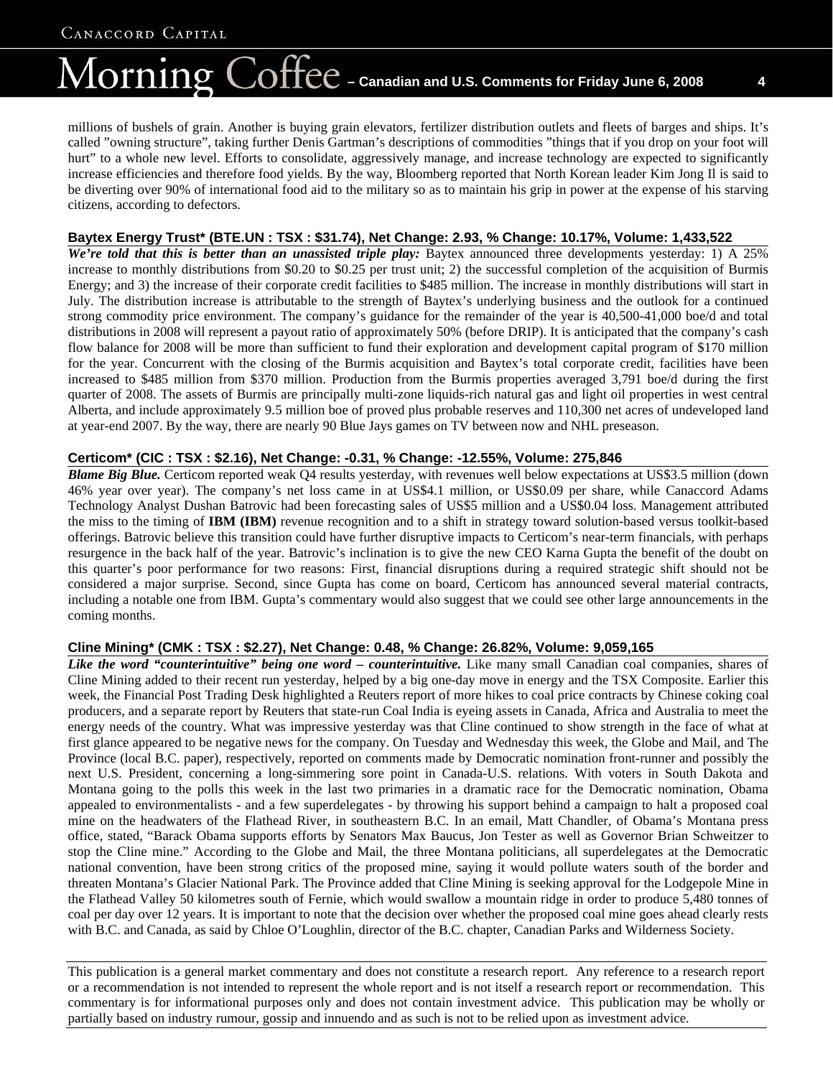# $\overline{\text{Coffect}}$  – Canadian and U.S. Comments for Friday June 6, 2008  $_{4}$ lorning

millions of bushels of grain. Another is buying grain elevators, fertilizer distribution outlets and fleets of barges and ships. It's called "owning structure", taking further Denis Gartman's descriptions of commodities "things that if you drop on your foot will hurt" to a whole new level. Efforts to consolidate, aggressively manage, and increase technology are expected to significantly increase efficiencies and therefore food yields. By the way, Bloomberg reported that North Korean leader Kim Jong Il is said to be diverting over 90% of international food aid to the military so as to maintain his grip in power at the expense of his starving citizens, according to defectors.

#### **Baytex Energy Trust\* (BTE.UN : TSX : \$31.74), Net Change: 2.93, % Change: 10.17%, Volume: 1,433,522**

We're told that this is better than an unassisted triple play: Baytex announced three developments yesterday: 1) A 25% increase to monthly distributions from \$0.20 to \$0.25 per trust unit; 2) the successful completion of the acquisition of Burmis Energy; and 3) the increase of their corporate credit facilities to \$485 million. The increase in monthly distributions will start in July. The distribution increase is attributable to the strength of Baytex's underlying business and the outlook for a continued strong commodity price environment. The company's guidance for the remainder of the year is 40,500-41,000 boe/d and total distributions in 2008 will represent a payout ratio of approximately 50% (before DRIP). It is anticipated that the company's cash flow balance for 2008 will be more than sufficient to fund their exploration and development capital program of \$170 million for the year. Concurrent with the closing of the Burmis acquisition and Baytex's total corporate credit, facilities have been increased to \$485 million from \$370 million. Production from the Burmis properties averaged 3,791 boe/d during the first quarter of 2008. The assets of Burmis are principally multi-zone liquids-rich natural gas and light oil properties in west central Alberta, and include approximately 9.5 million boe of proved plus probable reserves and 110,300 net acres of undeveloped land at year-end 2007. By the way, there are nearly 90 Blue Jays games on TV between now and NHL preseason.

#### **Certicom\* (CIC : TSX : \$2.16), Net Change: -0.31, % Change: -12.55%, Volume: 275,846**

*Blame Big Blue.* Certicom reported weak Q4 results yesterday, with revenues well below expectations at US\$3.5 million (down 46% year over year). The company's net loss came in at US\$4.1 million, or US\$0.09 per share, while Canaccord Adams Technology Analyst Dushan Batrovic had been forecasting sales of US\$5 million and a US\$0.04 loss. Management attributed the miss to the timing of **IBM (IBM)** revenue recognition and to a shift in strategy toward solution-based versus toolkit-based offerings. Batrovic believe this transition could have further disruptive impacts to Certicom's near-term financials, with perhaps resurgence in the back half of the year. Batrovic's inclination is to give the new CEO Karna Gupta the benefit of the doubt on this quarter's poor performance for two reasons: First, financial disruptions during a required strategic shift should not be considered a major surprise. Second, since Gupta has come on board, Certicom has announced several material contracts, including a notable one from IBM. Gupta's commentary would also suggest that we could see other large announcements in the coming months.

#### **Cline Mining\* (CMK : TSX : \$2.27), Net Change: 0.48, % Change: 26.82%, Volume: 9,059,165**

Like the word "counterintuitive" being one word – counterintuitive. Like many small Canadian coal companies, shares of Cline Mining added to their recent run yesterday, helped by a big one-day move in energy and the TSX Composite. Earlier this week, the Financial Post Trading Desk highlighted a Reuters report of more hikes to coal price contracts by Chinese coking coal producers, and a separate report by Reuters that state-run Coal India is eyeing assets in Canada, Africa and Australia to meet the energy needs of the country. What was impressive yesterday was that Cline continued to show strength in the face of what at first glance appeared to be negative news for the company. On Tuesday and Wednesday this week, the Globe and Mail, and The Province (local B.C. paper), respectively, reported on comments made by Democratic nomination front-runner and possibly the next U.S. President, concerning a long-simmering sore point in Canada-U.S. relations. With voters in South Dakota and Montana going to the polls this week in the last two primaries in a dramatic race for the Democratic nomination, Obama appealed to environmentalists - and a few superdelegates - by throwing his support behind a campaign to halt a proposed coal mine on the headwaters of the Flathead River, in southeastern B.C. In an email, Matt Chandler, of Obama's Montana press office, stated, "Barack Obama supports efforts by Senators Max Baucus, Jon Tester as well as Governor Brian Schweitzer to stop the Cline mine." According to the Globe and Mail, the three Montana politicians, all superdelegates at the Democratic national convention, have been strong critics of the proposed mine, saying it would pollute waters south of the border and threaten Montana's Glacier National Park. The Province added that Cline Mining is seeking approval for the Lodgepole Mine in the Flathead Valley 50 kilometres south of Fernie, which would swallow a mountain ridge in order to produce 5,480 tonnes of coal per day over 12 years. It is important to note that the decision over whether the proposed coal mine goes ahead clearly rests with B.C. and Canada, as said by Chloe O'Loughlin, director of the B.C. chapter, Canadian Parks and Wilderness Society.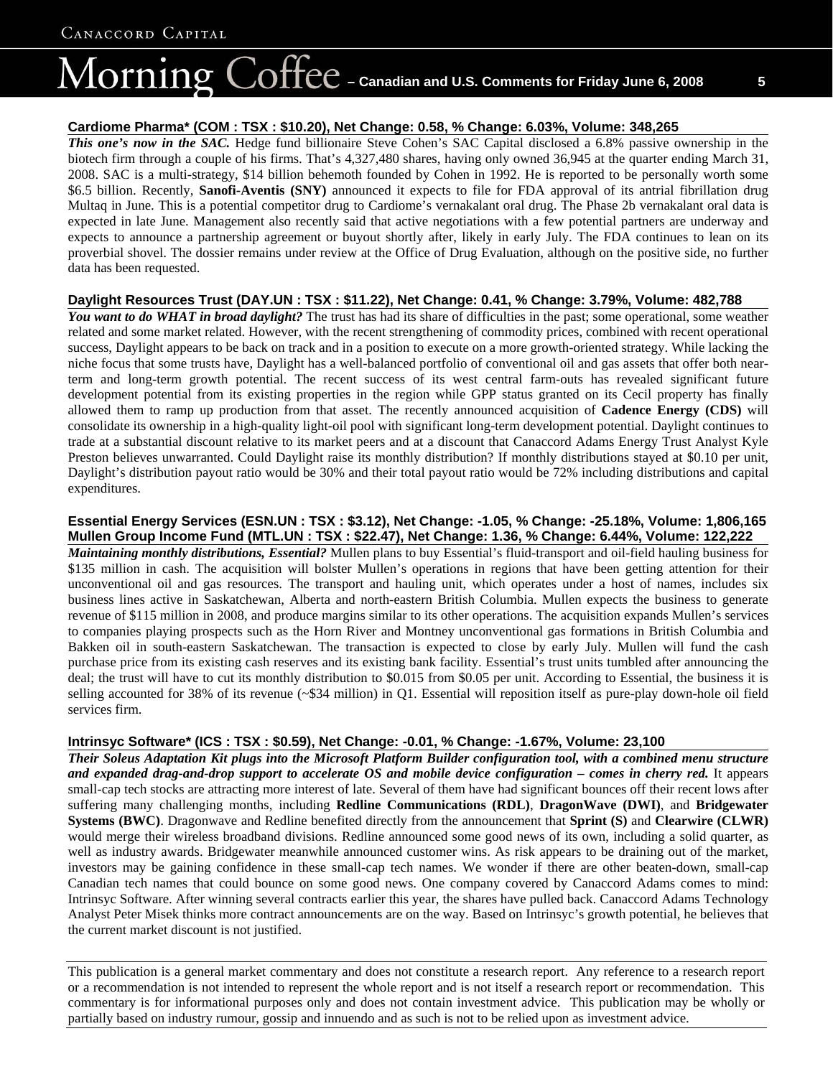# $\overline{\text{Coffec}}$  – Canadian and U.S. Comments for Friday June 6, 2008  $_{\text{S}}$ lorning

#### **Cardiome Pharma\* (COM : TSX : \$10.20), Net Change: 0.58, % Change: 6.03%, Volume: 348,265**

*This one's now in the SAC.* Hedge fund billionaire Steve Cohen's SAC Capital disclosed a 6.8% passive ownership in the biotech firm through a couple of his firms. That's 4,327,480 shares, having only owned 36,945 at the quarter ending March 31, 2008. SAC is a multi-strategy, \$14 billion behemoth founded by Cohen in 1992. He is reported to be personally worth some \$6.5 billion. Recently, **Sanofi-Aventis (SNY)** announced it expects to file for FDA approval of its antrial fibrillation drug Multaq in June. This is a potential competitor drug to Cardiome's vernakalant oral drug. The Phase 2b vernakalant oral data is expected in late June. Management also recently said that active negotiations with a few potential partners are underway and expects to announce a partnership agreement or buyout shortly after, likely in early July. The FDA continues to lean on its proverbial shovel. The dossier remains under review at the Office of Drug Evaluation, although on the positive side, no further data has been requested.

#### **Daylight Resources Trust (DAY.UN : TSX : \$11.22), Net Change: 0.41, % Change: 3.79%, Volume: 482,788**

*You want to do WHAT in broad daylight?* The trust has had its share of difficulties in the past; some operational, some weather related and some market related. However, with the recent strengthening of commodity prices, combined with recent operational success, Daylight appears to be back on track and in a position to execute on a more growth-oriented strategy. While lacking the niche focus that some trusts have, Daylight has a well-balanced portfolio of conventional oil and gas assets that offer both nearterm and long-term growth potential. The recent success of its west central farm-outs has revealed significant future development potential from its existing properties in the region while GPP status granted on its Cecil property has finally allowed them to ramp up production from that asset. The recently announced acquisition of **Cadence Energy (CDS)** will consolidate its ownership in a high-quality light-oil pool with significant long-term development potential. Daylight continues to trade at a substantial discount relative to its market peers and at a discount that Canaccord Adams Energy Trust Analyst Kyle Preston believes unwarranted. Could Daylight raise its monthly distribution? If monthly distributions stayed at \$0.10 per unit, Daylight's distribution payout ratio would be 30% and their total payout ratio would be 72% including distributions and capital expenditures.

**Essential Energy Services (ESN.UN : TSX : \$3.12), Net Change: -1.05, % Change: -25.18%, Volume: 1,806,165 Mullen Group Income Fund (MTL.UN : TSX : \$22.47), Net Change: 1.36, % Change: 6.44%, Volume: 122,222**  *Maintaining monthly distributions, Essential?* Mullen plans to buy Essential's fluid-transport and oil-field hauling business for \$135 million in cash. The acquisition will bolster Mullen's operations in regions that have been getting attention for their unconventional oil and gas resources. The transport and hauling unit, which operates under a host of names, includes six business lines active in Saskatchewan, Alberta and north-eastern British Columbia. Mullen expects the business to generate revenue of \$115 million in 2008, and produce margins similar to its other operations. The acquisition expands Mullen's services to companies playing prospects such as the Horn River and Montney unconventional gas formations in British Columbia and Bakken oil in south-eastern Saskatchewan. The transaction is expected to close by early July. Mullen will fund the cash purchase price from its existing cash reserves and its existing bank facility. Essential's trust units tumbled after announcing the deal; the trust will have to cut its monthly distribution to \$0.015 from \$0.05 per unit. According to Essential, the business it is selling accounted for 38% of its revenue (~\$34 million) in Q1. Essential will reposition itself as pure-play down-hole oil field services firm.

#### **Intrinsyc Software\* (ICS : TSX : \$0.59), Net Change: -0.01, % Change: -1.67%, Volume: 23,100**

*Their Soleus Adaptation Kit plugs into the Microsoft Platform Builder configuration tool, with a combined menu structure and expanded drag-and-drop support to accelerate OS and mobile device configuration – comes in cherry red.* It appears small-cap tech stocks are attracting more interest of late. Several of them have had significant bounces off their recent lows after suffering many challenging months, including **Redline Communications (RDL)**, **DragonWave (DWI)**, and **Bridgewater Systems (BWC)**. Dragonwave and Redline benefited directly from the announcement that **Sprint (S)** and **Clearwire (CLWR)**  would merge their wireless broadband divisions. Redline announced some good news of its own, including a solid quarter, as well as industry awards. Bridgewater meanwhile announced customer wins. As risk appears to be draining out of the market, investors may be gaining confidence in these small-cap tech names. We wonder if there are other beaten-down, small-cap Canadian tech names that could bounce on some good news. One company covered by Canaccord Adams comes to mind: Intrinsyc Software. After winning several contracts earlier this year, the shares have pulled back. Canaccord Adams Technology Analyst Peter Misek thinks more contract announcements are on the way. Based on Intrinsyc's growth potential, he believes that the current market discount is not justified.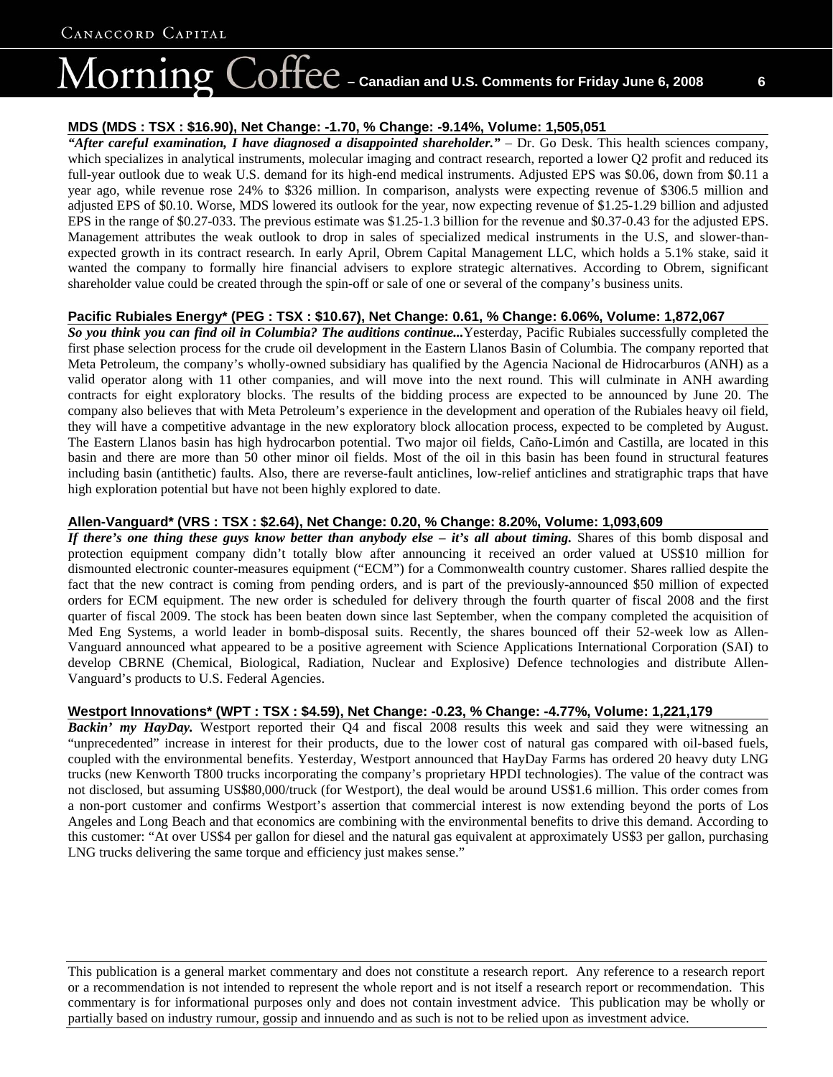# $\overline{\text{Coffect}}$  – Canadian and U.S. Comments for Friday June 6, 2008  $-$  6 lorning

#### **MDS (MDS : TSX : \$16.90), Net Change: -1.70, % Change: -9.14%, Volume: 1,505,051**

*"After careful examination, I have diagnosed a disappointed shareholder."* – Dr. Go Desk. This health sciences company, which specializes in analytical instruments, molecular imaging and contract research, reported a lower Q2 profit and reduced its full-year outlook due to weak U.S. demand for its high-end medical instruments. Adjusted EPS was \$0.06, down from \$0.11 a year ago, while revenue rose 24% to \$326 million. In comparison, analysts were expecting revenue of \$306.5 million and adjusted EPS of \$0.10. Worse, MDS lowered its outlook for the year, now expecting revenue of \$1.25-1.29 billion and adjusted EPS in the range of \$0.27-033. The previous estimate was \$1.25-1.3 billion for the revenue and \$0.37-0.43 for the adjusted EPS. Management attributes the weak outlook to drop in sales of specialized medical instruments in the U.S, and slower-thanexpected growth in its contract research. In early April, Obrem Capital Management LLC, which holds a 5.1% stake, said it wanted the company to formally hire financial advisers to explore strategic alternatives. According to Obrem, significant shareholder value could be created through the spin-off or sale of one or several of the company's business units.

#### **Pacific Rubiales Energy\* (PEG : TSX : \$10.67), Net Change: 0.61, % Change: 6.06%, Volume: 1,872,067**

*So you think you can find oil in Columbia? The auditions continue...*Yesterday, Pacific Rubiales successfully completed the first phase selection process for the crude oil development in the Eastern Llanos Basin of Columbia. The company reported that Meta Petroleum, the company's wholly-owned subsidiary has qualified by the Agencia Nacional de Hidrocarburos (ANH) as a valid operator along with 11 other companies, and will move into the next round. This will culminate in ANH awarding contracts for eight exploratory blocks. The results of the bidding process are expected to be announced by June 20. The company also believes that with Meta Petroleum's experience in the development and operation of the Rubiales heavy oil field, they will have a competitive advantage in the new exploratory block allocation process, expected to be completed by August. The Eastern Llanos basin has high hydrocarbon potential. Two major oil fields, Caño-Limón and Castilla, are located in this basin and there are more than 50 other minor oil fields. Most of the oil in this basin has been found in structural features including basin (antithetic) faults. Also, there are reverse-fault anticlines, low-relief anticlines and stratigraphic traps that have high exploration potential but have not been highly explored to date.

#### **Allen-Vanguard\* (VRS : TSX : \$2.64), Net Change: 0.20, % Change: 8.20%, Volume: 1,093,609**

*If there's one thing these guys know better than anybody else – it's all about timing.* Shares of this bomb disposal and protection equipment company didn't totally blow after announcing it received an order valued at US\$10 million for dismounted electronic counter-measures equipment ("ECM") for a Commonwealth country customer. Shares rallied despite the fact that the new contract is coming from pending orders, and is part of the previously-announced \$50 million of expected orders for ECM equipment. The new order is scheduled for delivery through the fourth quarter of fiscal 2008 and the first quarter of fiscal 2009. The stock has been beaten down since last September, when the company completed the acquisition of Med Eng Systems, a world leader in bomb-disposal suits. Recently, the shares bounced off their 52-week low as Allen-Vanguard announced what appeared to be a positive agreement with Science Applications International Corporation (SAI) to develop CBRNE (Chemical, Biological, Radiation, Nuclear and Explosive) Defence technologies and distribute Allen-Vanguard's products to U.S. Federal Agencies.

#### **Westport Innovations\* (WPT : TSX : \$4.59), Net Change: -0.23, % Change: -4.77%, Volume: 1,221,179**

*Backin' my HayDay.* Westport reported their Q4 and fiscal 2008 results this week and said they were witnessing an "unprecedented" increase in interest for their products, due to the lower cost of natural gas compared with oil-based fuels, coupled with the environmental benefits. Yesterday, Westport announced that HayDay Farms has ordered 20 heavy duty LNG trucks (new Kenworth T800 trucks incorporating the company's proprietary HPDI technologies). The value of the contract was not disclosed, but assuming US\$80,000/truck (for Westport), the deal would be around US\$1.6 million. This order comes from a non-port customer and confirms Westport's assertion that commercial interest is now extending beyond the ports of Los Angeles and Long Beach and that economics are combining with the environmental benefits to drive this demand. According to this customer: "At over US\$4 per gallon for diesel and the natural gas equivalent at approximately US\$3 per gallon, purchasing LNG trucks delivering the same torque and efficiency just makes sense."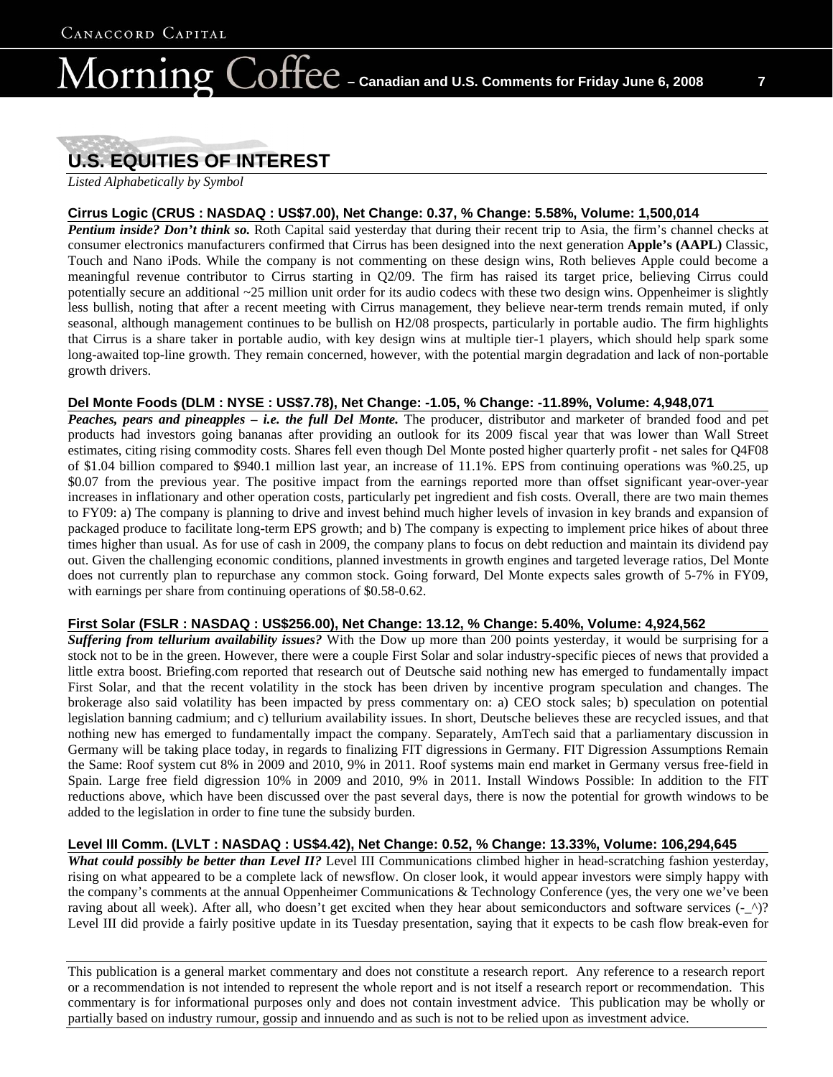# $\partial_{\Omega} \Theta = 0$  – Canadian and U.S. Comments for Friday June 6, 2008  $\Gamma$ lorning

# **U.S. EQUITIES OF INTEREST**

*Listed Alphabetically by Symbol*

#### **Cirrus Logic (CRUS : NASDAQ : US\$7.00), Net Change: 0.37, % Change: 5.58%, Volume: 1,500,014**

*Pentium inside? Don't think so.* Roth Capital said yesterday that during their recent trip to Asia, the firm's channel checks at consumer electronics manufacturers confirmed that Cirrus has been designed into the next generation **Apple's (AAPL)** Classic, Touch and Nano iPods. While the company is not commenting on these design wins, Roth believes Apple could become a meaningful revenue contributor to Cirrus starting in Q2/09. The firm has raised its target price, believing Cirrus could potentially secure an additional ~25 million unit order for its audio codecs with these two design wins. Oppenheimer is slightly less bullish, noting that after a recent meeting with Cirrus management, they believe near-term trends remain muted, if only seasonal, although management continues to be bullish on H2/08 prospects, particularly in portable audio. The firm highlights that Cirrus is a share taker in portable audio, with key design wins at multiple tier-1 players, which should help spark some long-awaited top-line growth. They remain concerned, however, with the potential margin degradation and lack of non-portable growth drivers.

#### **Del Monte Foods (DLM : NYSE : US\$7.78), Net Change: -1.05, % Change: -11.89%, Volume: 4,948,071**

*Peaches, pears and pineapples – i.e. the full Del Monte.* The producer, distributor and marketer of branded food and pet products had investors going bananas after providing an outlook for its 2009 fiscal year that was lower than Wall Street estimates, citing rising commodity costs. Shares fell even though Del Monte posted higher quarterly profit - net sales for Q4F08 of \$1.04 billion compared to \$940.1 million last year, an increase of 11.1%. EPS from continuing operations was %0.25, up \$0.07 from the previous year. The positive impact from the earnings reported more than offset significant year-over-year increases in inflationary and other operation costs, particularly pet ingredient and fish costs. Overall, there are two main themes to FY09: a) The company is planning to drive and invest behind much higher levels of invasion in key brands and expansion of packaged produce to facilitate long-term EPS growth; and b) The company is expecting to implement price hikes of about three times higher than usual. As for use of cash in 2009, the company plans to focus on debt reduction and maintain its dividend pay out. Given the challenging economic conditions, planned investments in growth engines and targeted leverage ratios, Del Monte does not currently plan to repurchase any common stock. Going forward, Del Monte expects sales growth of 5-7% in FY09, with earnings per share from continuing operations of \$0.58-0.62.

#### **First Solar (FSLR : NASDAQ : US\$256.00), Net Change: 13.12, % Change: 5.40%, Volume: 4,924,562**

*Suffering from tellurium availability issues?* With the Dow up more than 200 points yesterday, it would be surprising for a stock not to be in the green. However, there were a couple First Solar and solar industry-specific pieces of news that provided a little extra boost. Briefing.com reported that research out of Deutsche said nothing new has emerged to fundamentally impact First Solar, and that the recent volatility in the stock has been driven by incentive program speculation and changes. The brokerage also said volatility has been impacted by press commentary on: a) CEO stock sales; b) speculation on potential legislation banning cadmium; and c) tellurium availability issues. In short, Deutsche believes these are recycled issues, and that nothing new has emerged to fundamentally impact the company. Separately, AmTech said that a parliamentary discussion in Germany will be taking place today, in regards to finalizing FIT digressions in Germany. FIT Digression Assumptions Remain the Same: Roof system cut 8% in 2009 and 2010, 9% in 2011. Roof systems main end market in Germany versus free-field in Spain. Large free field digression 10% in 2009 and 2010, 9% in 2011. Install Windows Possible: In addition to the FIT reductions above, which have been discussed over the past several days, there is now the potential for growth windows to be added to the legislation in order to fine tune the subsidy burden.

#### **Level III Comm. (LVLT : NASDAQ : US\$4.42), Net Change: 0.52, % Change: 13.33%, Volume: 106,294,645**

*What could possibly be better than Level II?* Level III Communications climbed higher in head-scratching fashion yesterday, rising on what appeared to be a complete lack of newsflow. On closer look, it would appear investors were simply happy with the company's comments at the annual Oppenheimer Communications & Technology Conference (yes, the very one we've been raving about all week). After all, who doesn't get excited when they hear about semiconductors and software services (- ^)? Level III did provide a fairly positive update in its Tuesday presentation, saying that it expects to be cash flow break-even for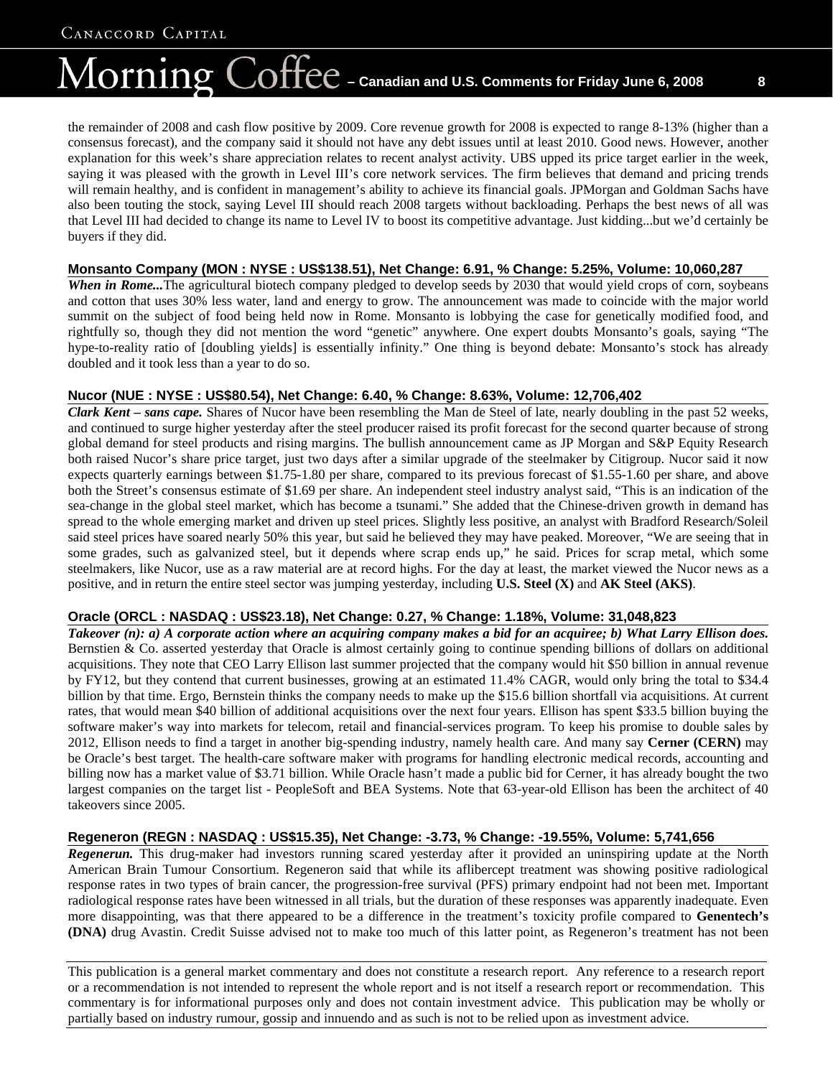# $\bigcirc$ O $\bigoplus$   $\bigcirc$   $\bigoplus$   $\bigcirc$   $\bigcirc$   $\bigcirc$   $\bigcirc$   $\bigcirc$   $\bigcirc$   $\bigcirc$   $\bigcirc$   $\bigcirc$   $\bigcirc$   $\bigcirc$   $\bigcirc$   $\bigcirc$   $\bigcirc$   $\bigcirc$   $\bigcirc$   $\bigcirc$   $\bigcirc$   $\bigcirc$   $\bigcirc$   $\bigcirc$   $\bigcirc$   $\bigcirc$   $\bigcirc$   $\bigcirc$   $\bigcirc$   $\bigcirc$   $\bigcirc$   $\bigcirc$   $\bigcirc$   $\bigcirc$   $\bigcirc$   $\big$ lorning

the remainder of 2008 and cash flow positive by 2009. Core revenue growth for 2008 is expected to range 8-13% (higher than a consensus forecast), and the company said it should not have any debt issues until at least 2010. Good news. However, another explanation for this week's share appreciation relates to recent analyst activity. UBS upped its price target earlier in the week, saying it was pleased with the growth in Level III's core network services. The firm believes that demand and pricing trends will remain healthy, and is confident in management's ability to achieve its financial goals. JPMorgan and Goldman Sachs have also been touting the stock, saying Level III should reach 2008 targets without backloading. Perhaps the best news of all was that Level III had decided to change its name to Level IV to boost its competitive advantage. Just kidding...but we'd certainly be buyers if they did.

#### **Monsanto Company (MON : NYSE : US\$138.51), Net Change: 6.91, % Change: 5.25%, Volume: 10,060,287**

*When in Rome...*The agricultural biotech company pledged to develop seeds by 2030 that would yield crops of corn, soybeans and cotton that uses 30% less water, land and energy to grow. The announcement was made to coincide with the major world summit on the subject of food being held now in Rome. Monsanto is lobbying the case for genetically modified food, and rightfully so, though they did not mention the word "genetic" anywhere. One expert doubts Monsanto's goals, saying "The hype-to-reality ratio of [doubling yields] is essentially infinity." One thing is beyond debate: Monsanto's stock has already doubled and it took less than a year to do so.

#### **Nucor (NUE : NYSE : US\$80.54), Net Change: 6.40, % Change: 8.63%, Volume: 12,706,402**

*Clark Kent – sans cape.* Shares of Nucor have been resembling the Man de Steel of late, nearly doubling in the past 52 weeks, and continued to surge higher yesterday after the steel producer raised its profit forecast for the second quarter because of strong global demand for steel products and rising margins. The bullish announcement came as JP Morgan and S&P Equity Research both raised Nucor's share price target, just two days after a similar upgrade of the steelmaker by Citigroup. Nucor said it now expects quarterly earnings between \$1.75-1.80 per share, compared to its previous forecast of \$1.55-1.60 per share, and above both the Street's consensus estimate of \$1.69 per share. An independent steel industry analyst said, "This is an indication of the sea-change in the global steel market, which has become a tsunami." She added that the Chinese-driven growth in demand has spread to the whole emerging market and driven up steel prices. Slightly less positive, an analyst with Bradford Research/Soleil said steel prices have soared nearly 50% this year, but said he believed they may have peaked. Moreover, "We are seeing that in some grades, such as galvanized steel, but it depends where scrap ends up," he said. Prices for scrap metal, which some steelmakers, like Nucor, use as a raw material are at record highs. For the day at least, the market viewed the Nucor news as a positive, and in return the entire steel sector was jumping yesterday, including **U.S. Steel (X)** and **AK Steel (AKS)**.

#### **Oracle (ORCL : NASDAQ : US\$23.18), Net Change: 0.27, % Change: 1.18%, Volume: 31,048,823**

*Takeover (n): a) A corporate action where an acquiring company makes a bid for an acquiree; b) What Larry Ellison does.* Bernstien & Co. asserted yesterday that Oracle is almost certainly going to continue spending billions of dollars on additional acquisitions. They note that CEO Larry Ellison last summer projected that the company would hit \$50 billion in annual revenue by FY12, but they contend that current businesses, growing at an estimated 11.4% CAGR, would only bring the total to \$34.4 billion by that time. Ergo, Bernstein thinks the company needs to make up the \$15.6 billion shortfall via acquisitions. At current rates, that would mean \$40 billion of additional acquisitions over the next four years. Ellison has spent \$33.5 billion buying the software maker's way into markets for telecom, retail and financial-services program. To keep his promise to double sales by 2012, Ellison needs to find a target in another big-spending industry, namely health care. And many say **Cerner (CERN)** may be Oracle's best target. The health-care software maker with programs for handling electronic medical records, accounting and billing now has a market value of \$3.71 billion. While Oracle hasn't made a public bid for Cerner, it has already bought the two largest companies on the target list - PeopleSoft and BEA Systems. Note that 63-year-old Ellison has been the architect of 40 takeovers since 2005.

#### **Regeneron (REGN : NASDAQ : US\$15.35), Net Change: -3.73, % Change: -19.55%, Volume: 5,741,656**

*Regenerun.* This drug-maker had investors running scared yesterday after it provided an uninspiring update at the North American Brain Tumour Consortium. Regeneron said that while its aflibercept treatment was showing positive radiological response rates in two types of brain cancer, the progression-free survival (PFS) primary endpoint had not been met. Important radiological response rates have been witnessed in all trials, but the duration of these responses was apparently inadequate. Even more disappointing, was that there appeared to be a difference in the treatment's toxicity profile compared to **Genentech's (DNA)** drug Avastin. Credit Suisse advised not to make too much of this latter point, as Regeneron's treatment has not been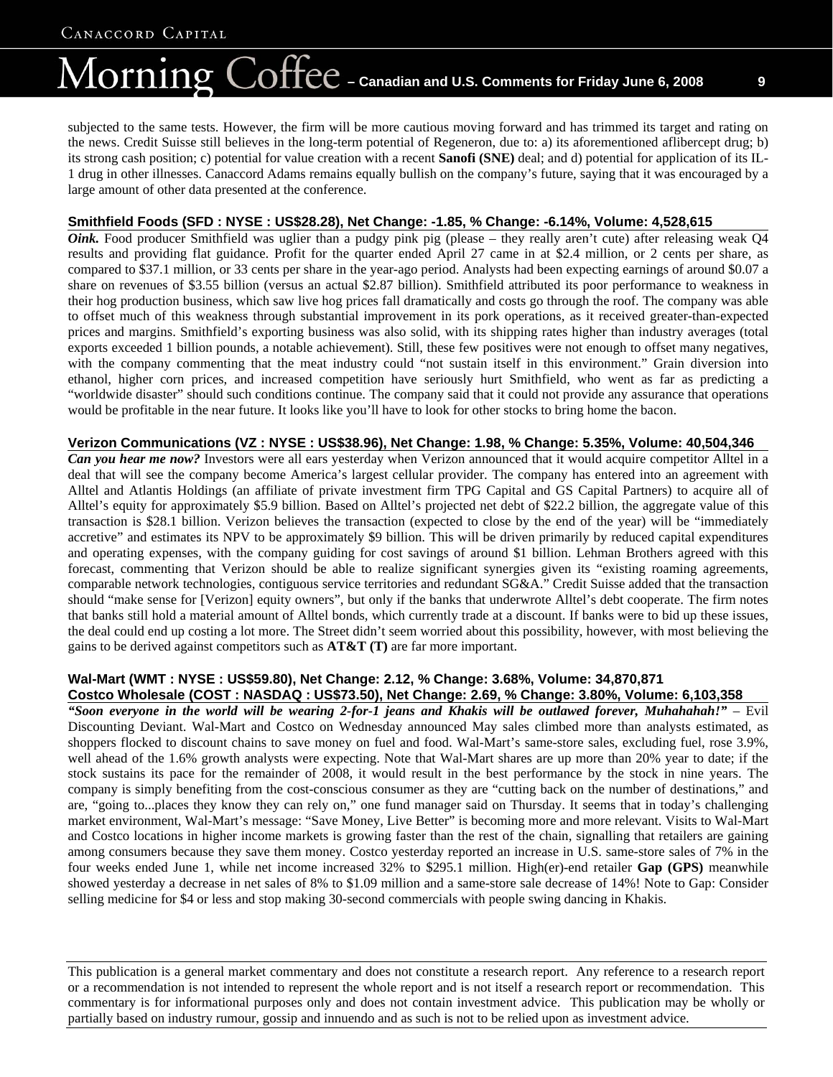# $\overline{\text{Coffect}}$  – Canadian and U.S. Comments for Friday June 6, 2008  $\qquad$  9 lorning

subjected to the same tests. However, the firm will be more cautious moving forward and has trimmed its target and rating on the news. Credit Suisse still believes in the long-term potential of Regeneron, due to: a) its aforementioned aflibercept drug; b) its strong cash position; c) potential for value creation with a recent **Sanofi (SNE)** deal; and d) potential for application of its IL-1 drug in other illnesses. Canaccord Adams remains equally bullish on the company's future, saying that it was encouraged by a large amount of other data presented at the conference.

#### **Smithfield Foods (SFD : NYSE : US\$28.28), Net Change: -1.85, % Change: -6.14%, Volume: 4,528,615**

*Oink*. Food producer Smithfield was uglier than a pudgy pink pig (please – they really aren't cute) after releasing weak Q4 results and providing flat guidance. Profit for the quarter ended April 27 came in at \$2.4 million, or 2 cents per share, as compared to \$37.1 million, or 33 cents per share in the year-ago period. Analysts had been expecting earnings of around \$0.07 a share on revenues of \$3.55 billion (versus an actual \$2.87 billion). Smithfield attributed its poor performance to weakness in their hog production business, which saw live hog prices fall dramatically and costs go through the roof. The company was able to offset much of this weakness through substantial improvement in its pork operations, as it received greater-than-expected prices and margins. Smithfield's exporting business was also solid, with its shipping rates higher than industry averages (total exports exceeded 1 billion pounds, a notable achievement). Still, these few positives were not enough to offset many negatives, with the company commenting that the meat industry could "not sustain itself in this environment." Grain diversion into ethanol, higher corn prices, and increased competition have seriously hurt Smithfield, who went as far as predicting a "worldwide disaster" should such conditions continue. The company said that it could not provide any assurance that operations would be profitable in the near future. It looks like you'll have to look for other stocks to bring home the bacon.

#### **Verizon Communications (VZ : NYSE : US\$38.96), Net Change: 1.98, % Change: 5.35%, Volume: 40,504,346**

*Can you hear me now?* Investors were all ears yesterday when Verizon announced that it would acquire competitor Alltel in a deal that will see the company become America's largest cellular provider. The company has entered into an agreement with Alltel and Atlantis Holdings (an affiliate of private investment firm TPG Capital and GS Capital Partners) to acquire all of Alltel's equity for approximately \$5.9 billion. Based on Alltel's projected net debt of \$22.2 billion, the aggregate value of this transaction is \$28.1 billion. Verizon believes the transaction (expected to close by the end of the year) will be "immediately accretive" and estimates its NPV to be approximately \$9 billion. This will be driven primarily by reduced capital expenditures and operating expenses, with the company guiding for cost savings of around \$1 billion. Lehman Brothers agreed with this forecast, commenting that Verizon should be able to realize significant synergies given its "existing roaming agreements, comparable network technologies, contiguous service territories and redundant SG&A." Credit Suisse added that the transaction should "make sense for [Verizon] equity owners", but only if the banks that underwrote Alltel's debt cooperate. The firm notes that banks still hold a material amount of Alltel bonds, which currently trade at a discount. If banks were to bid up these issues, the deal could end up costing a lot more. The Street didn't seem worried about this possibility, however, with most believing the gains to be derived against competitors such as **AT&T (T)** are far more important.

#### **Wal-Mart (WMT : NYSE : US\$59.80), Net Change: 2.12, % Change: 3.68%, Volume: 34,870,871**

#### **Costco Wholesale (COST : NASDAQ : US\$73.50), Net Change: 2.69, % Change: 3.80%, Volume: 6,103,358**

*"Soon everyone in the world will be wearing 2-for-1 jeans and Khakis will be outlawed forever, Muhahahah!"* – Evil Discounting Deviant. Wal-Mart and Costco on Wednesday announced May sales climbed more than analysts estimated, as shoppers flocked to discount chains to save money on fuel and food. Wal-Mart's same-store sales, excluding fuel, rose 3.9%, well ahead of the 1.6% growth analysts were expecting. Note that Wal-Mart shares are up more than 20% year to date; if the stock sustains its pace for the remainder of 2008, it would result in the best performance by the stock in nine years. The company is simply benefiting from the cost-conscious consumer as they are "cutting back on the number of destinations," and are, "going to...places they know they can rely on," one fund manager said on Thursday. It seems that in today's challenging market environment, Wal-Mart's message: "Save Money, Live Better" is becoming more and more relevant. Visits to Wal-Mart and Costco locations in higher income markets is growing faster than the rest of the chain, signalling that retailers are gaining among consumers because they save them money. Costco yesterday reported an increase in U.S. same-store sales of 7% in the four weeks ended June 1, while net income increased 32% to \$295.1 million. High(er)-end retailer **Gap (GPS)** meanwhile showed yesterday a decrease in net sales of 8% to \$1.09 million and a same-store sale decrease of 14%! Note to Gap: Consider selling medicine for \$4 or less and stop making 30-second commercials with people swing dancing in Khakis.